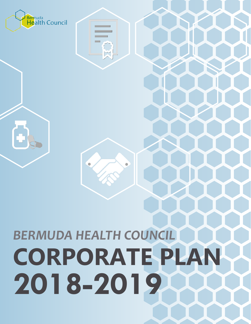# **CORPORATE PLAN** *BERMUDA HEALTH COUNCIL* **2018-2019**

 $\triangle$ 



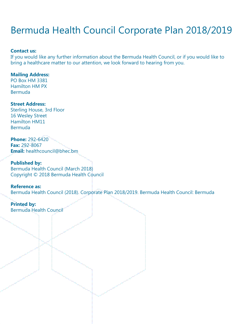#### Bermuda Health Council Corporate Plan 2018/2019

#### **Contact us:**

If you would like any further information about the Bermuda Health Council, or if you would like to bring a healthcare matter to our attention, we look forward to hearing from you.

#### **Mailing Address:**

PO Box HM 3381 Hamilton HM PX Bermuda

#### **Street Address:**

Sterling House, 3rd Floor 16 Wesley Street Hamilton HM11 Bermuda

**Phone:** 292-6420 **Fax:** 292-8067 **Email:** healthcouncil@bhec.bm

#### **Published by:**

Bermuda Health Council (March 2018) Copyright © 2018 Bermuda Health Council

#### **Reference as:**

Bermuda Health Council (2018). Corporate Plan 2018/2019. Bermuda Health Council: Bermuda

#### **Printed by:** Bermuda Health Council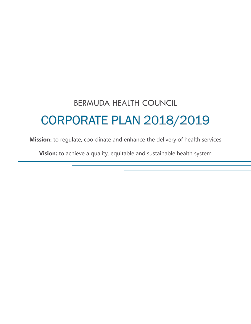### BERMUDA HEALTH COUNCIL CORPORATE PLAN 2018/2019

**Mission:** to regulate, coordinate and enhance the delivery of health services

**Vision:** to achieve a quality, equitable and sustainable health system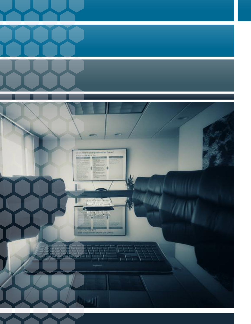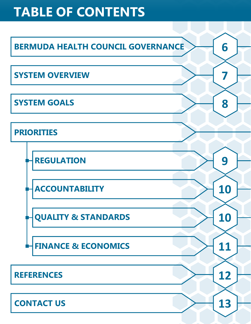# **TABLE OF CONTENTS**

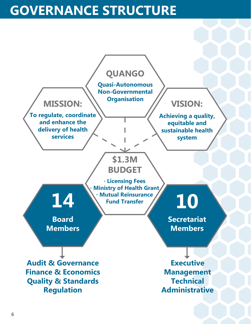### **GOVERNANCE STRUCTURE**

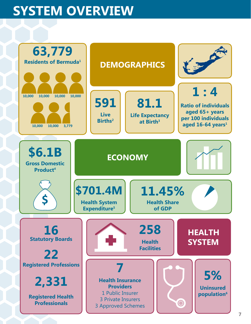### **SYSTEM OVERVIEW**

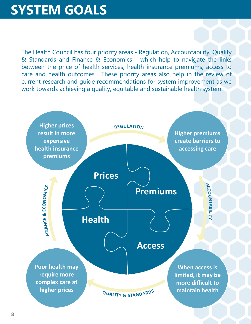The Health Council has four priority areas - Regulation, Accountability, Quality & Standards and Finance & Economics - which help to navigate the links between the price of health services, health insurance premiums, access to care and health outcomes. These priority areas also help in the review of current research and guide recommendations for system improvement as we work towards achieving a quality, equitable and sustainable health system.

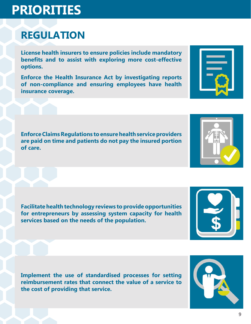#### **PRIORITIES**

### **REGULATION**

**License health insurers to ensure policies include mandatory benefits and to assist with exploring more cost-effective options.**

**Enforce the Health Insurance Act by investigating reports of non-compliance and ensuring employees have health insurance coverage.**

**Enforce Claims Regulations to ensure health service providers are paid on time and patients do not pay the insured portion of care.**

**Facilitate health technology reviews to provide opportunities for entrepreneurs by assessing system capacity for health services based on the needs of the population.**

**Implement the use of standardised processes for setting reimbursement rates that connect the value of a service to the cost of providing that service.** 







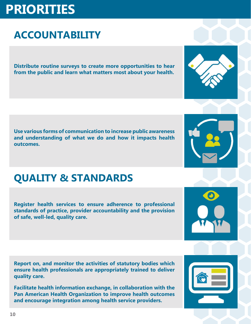# **PRIORITIES**

#### **ACCOUNTABILITY**

**Distribute routine surveys to create more opportunities to hear from the public and learn what matters most about your health.**

**Use various forms of communication to increase public awareness and understanding of what we do and how it impacts health outcomes.**

#### **QUALITY & STANDARDS**

**Register health services to ensure adherence to professional standards of practice, provider accountability and the provision of safe, well-led, quality care.**

**Report on, and monitor the activities of statutory bodies which ensure health professionals are appropriately trained to deliver quality care.** 

**Facilitate health information exchange, in collaboration with the Pan American Health Organization to improve health outcomes and encourage integration among health service providers.**







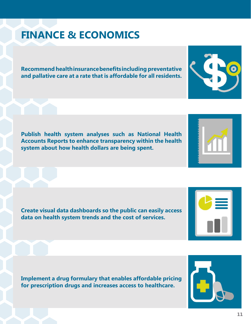#### **FINANCE & ECONOMICS**

**Recommend health insurance benefits including preventative and pallative care at a rate that is affordable for all residents.**

**Publish health system analyses such as National Health Accounts Reports to enhance transparency within the health system about how health dollars are being spent.** 

**Create visual data dashboards so the public can easily access data on health system trends and the cost of services.** 

**Implement a drug formulary that enables affordable pricing for prescription drugs and increases access to healthcare.**







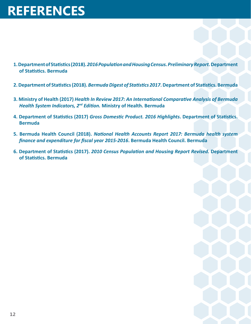### **REFERENCES**

- **1. Department of Statistics (2018).** *2016 Population and Housing Census. Preliminary Report.* **Department of Statistics. Bermuda**
- **2. Department of Statistics (2018).** *Bermuda Digest of Statistics 2017***. Department of Statistics. Bermuda**
- **3. Ministry of Health (2017)** *Health In Review 2017: An International Comparative Analysis of Bermuda Health System Indicators, 2nd Edition.* **Ministry of Health. Bermuda**
- **4. Department of Statistics (2017)** *Gross Domestic Product. 2016 Highlights***. Department of Statistics. Bermuda**
- **5. Bermuda Health Council (2018).** *National Health Accounts Report 2017: Bermuda health system finance and expenditure for fiscal year 2015-2016***. Bermuda Health Council. Bermuda**
- **6. Department of Statistics (2017).** *2010 Census Population and Housing Report Revised.* **Department of Statistics. Bermuda**